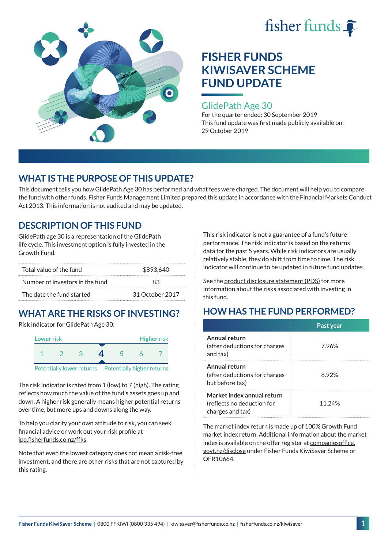



### GlidePath Age 30

For the quarter ended: 30 September 2019 This fund update was first made publicly available on: 29 October 2019

# **WHAT IS THE PURPOSE OF THIS UPDATE?**

This document tells you how GlidePath Age 30 has performed and what fees were charged. The document will help you to compare the fund with other funds. Fisher Funds Management Limited prepared this update in accordance with the Financial Markets Conduct Act 2013. This information is not audited and may be updated.

# **DESCRIPTION OF THIS FUND**

GlidePath age 30 is a representation of the GlidePath life cycle. This investment option is fully invested in the Growth Fund.

| Total value of the fund         | \$893.640       |  |  |
|---------------------------------|-----------------|--|--|
| Number of investors in the fund | 83              |  |  |
| The date the fund started       | 31 October 2017 |  |  |

# **WHAT ARE THE RISKS OF INVESTING?**

Risk indicator for GlidePath Age 30:



The risk indicator is rated from 1 (low) to 7 (high). The rating

reflects how much the value of the fund's assets goes up and down. A higher risk generally means higher potential returns over time, but more ups and downs along the way.

To help you clarify your own attitude to risk, you can seek financial advice or work out your risk profile at [ipq.fisherfunds.co.nz/ffks](https://ipq.fisherfunds.co.nz/ffks).

Note that even the lowest category does not mean a risk-free investment, and there are other risks that are not captured by this rating.

This risk indicator is not a guarantee of a fund's future performance. The risk indicator is based on the returns data for the past 5 years. While risk indicators are usually relatively stable, they do shift from time to time. The risk indicator will continue to be updated in future fund updates.

See the [product disclosure statement \(PDS\)](https://fisherfunds.co.nz/assets/PDS/Fisher-Funds-KiwiSaver-Scheme-PDS.pdf) for more information about the risks associated with investing in this fund.

# **HOW HAS THE FUND PERFORMED?**

|                                                                              | Past year |
|------------------------------------------------------------------------------|-----------|
| Annual return<br>(after deductions for charges)<br>and tax)                  | 7.96%     |
| Annual return<br>(after deductions for charges)<br>but before tax)           | 8.92%     |
| Market index annual return<br>(reflects no deduction for<br>charges and tax) | 11.24%    |

The market index return is made up of 100% Growth Fund market index return. Additional information about the market index is available on the offer register at [companiesoffice.](http://companiesoffice.govt.nz/disclose) [govt.nz/disclose](http://companiesoffice.govt.nz/disclose) under Fisher Funds KiwiSaver Scheme or OFR10664.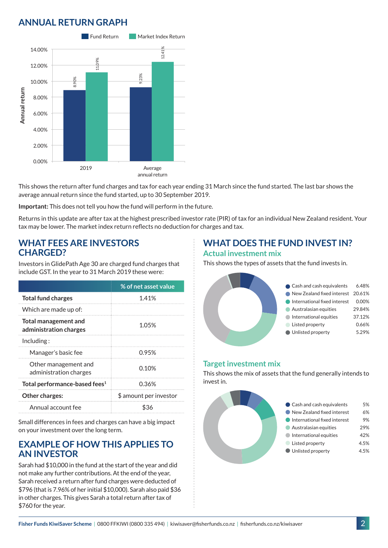# **ANNUAL RETURN GRAPH**



This shows the return after fund charges and tax for each year ending 31 March since the fund started. The last bar shows the average annual return since the fund started, up to 30 September 2019.

**Important:** This does not tell you how the fund will perform in the future.

Returns in this update are after tax at the highest prescribed investor rate (PIR) of tax for an individual New Zealand resident. Your tax may be lower. The market index return reflects no deduction for charges and tax.

### **WHAT FEES ARE INVESTORS CHARGED?**

Investors in GlidePath Age 30 are charged fund charges that include GST. In the year to 31 March 2019 these were:

|                                                | % of net asset value   |
|------------------------------------------------|------------------------|
| <b>Total fund charges</b>                      | 1.41%                  |
| Which are made up of:                          |                        |
| Total management and<br>administration charges | 1.05%                  |
| Including:                                     |                        |
| Manager's basic fee                            | 0.95%                  |
| Other management and<br>administration charges | 0.10%                  |
| Total performance-based fees <sup>1</sup>      | 0.36%                  |
| Other charges:                                 | \$ amount per investor |
| Annual account fee                             | ፍ36                    |

Small differences in fees and charges can have a big impact on your investment over the long term.

### **EXAMPLE OF HOW THIS APPLIES TO AN INVESTOR**

Sarah had \$10,000 in the fund at the start of the year and did not make any further contributions. At the end of the year, Sarah received a return after fund charges were deducted of \$796 (that is 7.96% of her initial \$10,000). Sarah also paid \$36 in other charges. This gives Sarah a total return after tax of \$760 for the year.

## **WHAT DOES THE FUND INVEST IN? Actual investment mix**

This shows the types of assets that the fund invests in.



#### **Target investment mix**

This shows the mix of assets that the fund generally intends to invest in.